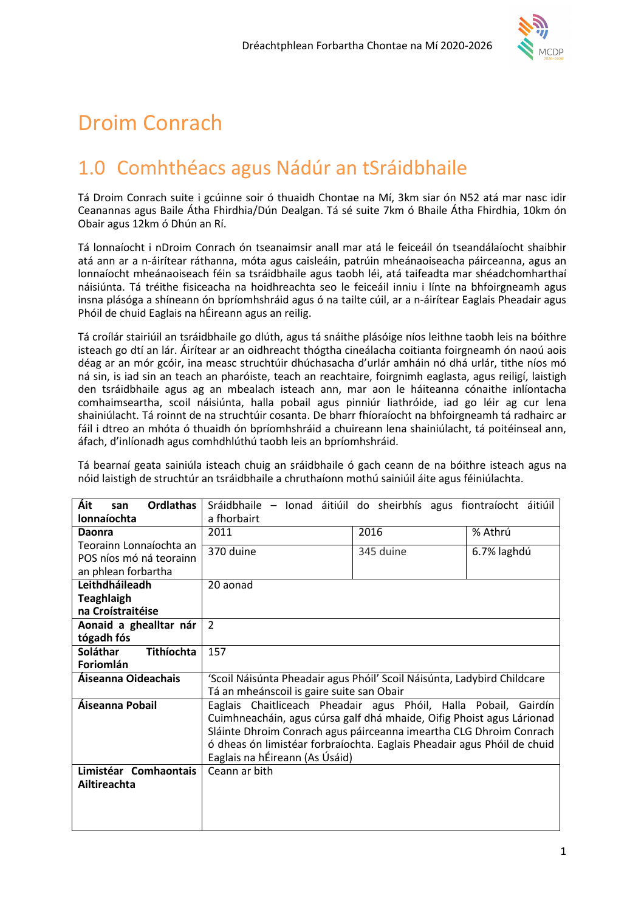

# Droim Conrach

## 1.0 Comhthéacs agus Nádúr an tSráidbhaile

Tá Droim Conrach suite i gcúinne soir ó thuaidh Chontae na Mí, 3km siar ón N52 atá mar nasc idir Ceanannas agus Baile Átha Fhirdhia/Dún Dealgan. Tá sé suite 7km ó Bhaile Átha Fhirdhia, 10km ón Obair agus 12km ó Dhún an Rí.

Tá lonnaíocht i nDroim Conrach ón tseanaimsir anall mar atá le feiceáil ón tseandálaíocht shaibhir atá ann ar a n-áirítear ráthanna, móta agus caisleáin, patrúin mheánaoiseacha páirceanna, agus an lonnaíocht mheánaoiseach féin sa tsráidbhaile agus taobh léi, atá taifeadta mar shéadchomharthaí náisiúnta. Tá tréithe fisiceacha na hoidhreachta seo le feiceáil inniu i línte na bhfoirgneamh agus insna plásóga a shíneann ón bpríomhshráid agus ó na tailte cúil, ar a n-áirítear Eaglais Pheadair agus Phóil de chuid Eaglais na hÉireann agus an reilig.

Tá croílár stairiúil an tsráidbhaile go dlúth, agus tá snáithe plásóige níos leithne taobh leis na bóithre isteach go dtí an lár. Áirítear ar an oidhreacht thógtha cineálacha coitianta foirgneamh ón naoú aois déag ar an mór gcóir, ina measc struchtúir dhúchasacha d'urlár amháin nó dhá urlár, tithe níos mó ná sin, is iad sin an teach an pharóiste, teach an reachtaire, foirgnimh eaglasta, agus reiligí, laistigh den tsráidbhaile agus ag an mbealach isteach ann, mar aon le háiteanna cónaithe inlíontacha comhaimseartha, scoil náisiúnta, halla pobail agus pinniúr liathróide, iad go léir ag cur lena shainiúlacht. Tá roinnt de na struchtúir cosanta. De bharr fhíoraíocht na bhfoirgneamh tá radhairc ar fáil i dtreo an mhóta ó thuaidh ón bpríomhshráid a chuireann lena shainiúlacht, tá poitéinseal ann, áfach, d'inlíonadh agus comhdhlúthú taobh leis an bpríomhshráid.

Tá bearnaí geata sainiúla isteach chuig an sráidbhaile ó gach ceann de na bóithre isteach agus na nóid laistigh de struchtúr an tsráidbhaile a chruthaíonn mothú sainiúil áite agus féiniúlachta.

| Áit<br><b>Ordlathas</b><br>san | Sráidbhaile -                                                           | Ionad áitiúil do sheirbhís agus fiontraíocht áitiúil |             |
|--------------------------------|-------------------------------------------------------------------------|------------------------------------------------------|-------------|
| lonnaíochta                    | a fhorbairt                                                             |                                                      |             |
| <b>Daonra</b>                  | 2011                                                                    | 2016                                                 | % Athrú     |
| Teorainn Lonnaíochta an        | 370 duine                                                               | 345 duine                                            | 6.7% laghdú |
| POS níos mó ná teorainn        |                                                                         |                                                      |             |
| an phlean forbartha            |                                                                         |                                                      |             |
| Leithdháileadh                 | 20 aonad                                                                |                                                      |             |
| <b>Teaghlaigh</b>              |                                                                         |                                                      |             |
| na Croístraitéise              |                                                                         |                                                      |             |
| Aonaid a ghealltar nár         | $\overline{2}$                                                          |                                                      |             |
| tógadh fós                     |                                                                         |                                                      |             |
| Soláthar<br><b>Tithíochta</b>  | 157                                                                     |                                                      |             |
| Foriomlán                      |                                                                         |                                                      |             |
| Áiseanna Oideachais            | 'Scoil Náisúnta Pheadair agus Phóil' Scoil Náisúnta, Ladybird Childcare |                                                      |             |
|                                | Tá an mheánscoil is gaire suite san Obair                               |                                                      |             |
| Áiseanna Pobail                | Eaglais Chaitliceach Pheadair agus Phóil, Halla Pobail, Gairdín         |                                                      |             |
|                                | Cuimhneacháin, agus cúrsa galf dhá mhaide, Oifig Phoist agus Lárionad   |                                                      |             |
|                                | Sláinte Dhroim Conrach agus páirceanna imeartha CLG Dhroim Conrach      |                                                      |             |
|                                | ó dheas ón limistéar forbraíochta. Eaglais Pheadair agus Phóil de chuid |                                                      |             |
|                                | Eaglais na hÉireann (As Úsáid)                                          |                                                      |             |
| Limistéar Comhaontais          | Ceann ar bith                                                           |                                                      |             |
| Ailtireachta                   |                                                                         |                                                      |             |
|                                |                                                                         |                                                      |             |
|                                |                                                                         |                                                      |             |
|                                |                                                                         |                                                      |             |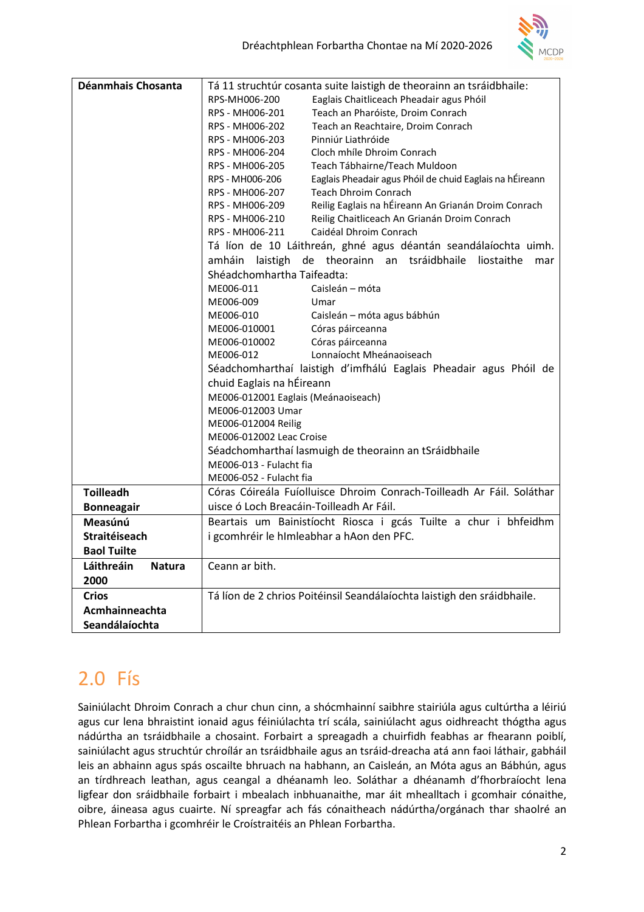

| Déanmhais Chosanta          | Tá 11 struchtúr cosanta suite laistigh de theorainn an tsráidbhaile:        |  |
|-----------------------------|-----------------------------------------------------------------------------|--|
|                             | RPS-MH006-200<br>Eaglais Chaitliceach Pheadair agus Phóil                   |  |
|                             | RPS - MH006-201<br>Teach an Pharóiste, Droim Conrach                        |  |
|                             | RPS - MH006-202<br>Teach an Reachtaire, Droim Conrach                       |  |
|                             | Pinniúr Liathróide<br>RPS - MH006-203                                       |  |
|                             | RPS - MH006-204<br>Cloch mhíle Dhroim Conrach                               |  |
|                             | RPS - MH006-205<br>Teach Tábhairne/Teach Muldoon                            |  |
|                             | Eaglais Pheadair agus Phóil de chuid Eaglais na hÉireann<br>RPS - MH006-206 |  |
|                             | <b>Teach Dhroim Conrach</b><br>RPS - MH006-207                              |  |
|                             | Reilig Eaglais na hÉireann An Grianán Droim Conrach<br>RPS - MH006-209      |  |
|                             | RPS - MH006-210<br>Reilig Chaitliceach An Grianán Droim Conrach             |  |
|                             | RPS - MH006-211<br>Caidéal Dhroim Conrach                                   |  |
|                             | Tá líon de 10 Láithreán, ghné agus déantán seandálaíochta uimh.             |  |
|                             | de theorainn an tsráidbhaile<br>amháin laistigh<br>liostaithe<br>mar        |  |
|                             | Shéadchomhartha Taifeadta:                                                  |  |
|                             | ME006-011<br>Caisleán – móta                                                |  |
|                             | ME006-009<br>Umar                                                           |  |
|                             | ME006-010<br>Caisleán - móta agus bábhún                                    |  |
|                             | ME006-010001<br>Córas páirceanna                                            |  |
|                             | Córas páirceanna<br>ME006-010002                                            |  |
|                             | ME006-012<br>Lonnaíocht Mheánaoiseach                                       |  |
|                             | Séadchomharthaí laistigh d'imfhálú Eaglais Pheadair agus Phóil de           |  |
|                             | chuid Eaglais na hÉireann                                                   |  |
|                             | ME006-012001 Eaglais (Meánaoiseach)                                         |  |
|                             | ME006-012003 Umar                                                           |  |
|                             | ME006-012004 Reilig                                                         |  |
|                             | ME006-012002 Leac Croise                                                    |  |
|                             | Séadchomharthaí lasmuigh de theorainn an tSráidbhaile                       |  |
|                             | ME006-013 - Fulacht fia                                                     |  |
|                             | ME006-052 - Fulacht fia                                                     |  |
| <b>Toilleadh</b>            | Córas Cóireála Fuíolluisce Dhroim Conrach-Toilleadh Ar Fáil. Soláthar       |  |
| <b>Bonneagair</b>           | uisce ó Loch Breacáin-Toilleadh Ar Fáil.                                    |  |
| Measúnú                     | Beartais um Bainistíocht Riosca i gcás Tuilte a chur i bhfeidhm             |  |
| Straitéiseach               | i gcomhréir le hImleabhar a hAon den PFC.                                   |  |
| <b>Baol Tuilte</b>          |                                                                             |  |
| Láithreáin<br><b>Natura</b> | Ceann ar bith.                                                              |  |
| 2000                        |                                                                             |  |
| <b>Crios</b>                | Tá líon de 2 chrios Poitéinsil Seandálaíochta laistigh den sráidbhaile.     |  |
| Acmhainneachta              |                                                                             |  |
| Seandálaíochta              |                                                                             |  |
|                             |                                                                             |  |

# 2.0 Fís

Sainiúlacht Dhroim Conrach a chur chun cinn, a shócmhainní saibhre stairiúla agus cultúrtha a léiriú agus cur lena bhraistint ionaid agus féiniúlachta trí scála, sainiúlacht agus oidhreacht thógtha agus nádúrtha an tsráidbhaile a chosaint. Forbairt a spreagadh a chuirfidh feabhas ar fhearann poiblí, sainiúlacht agus struchtúr chroílár an tsráidbhaile agus an tsráid-dreacha atá ann faoi láthair, gabháil leis an abhainn agus spás oscailte bhruach na habhann, an Caisleán, an Móta agus an Bábhún, agus an tírdhreach leathan, agus ceangal a dhéanamh leo. Soláthar a dhéanamh d'fhorbraíocht lena ligfear don sráidbhaile forbairt i mbealach inbhuanaithe, mar áit mhealltach i gcomhair cónaithe, oibre, áineasa agus cuairte. Ní spreagfar ach fás cónaitheach nádúrtha/orgánach thar shaolré an Phlean Forbartha i gcomhréir le Croístraitéis an Phlean Forbartha.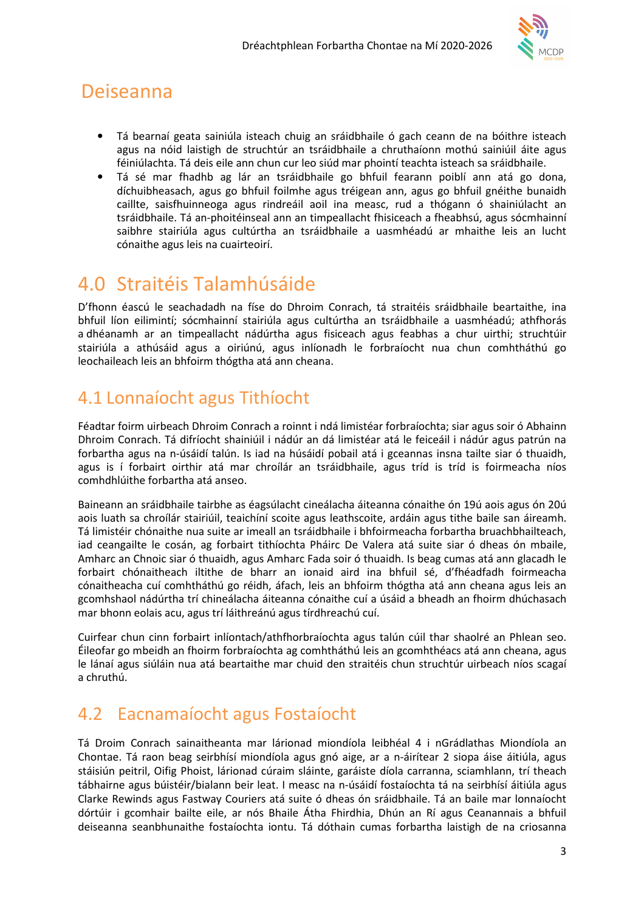

## Deiseanna

- Tá bearnaí geata sainiúla isteach chuig an sráidbhaile ó gach ceann de na bóithre isteach agus na nóid laistigh de struchtúr an tsráidbhaile a chruthaíonn mothú sainiúil áite agus féiniúlachta. Tá deis eile ann chun cur leo siúd mar phointí teachta isteach sa sráidbhaile.
- Tá sé mar fhadhb ag lár an tsráidbhaile go bhfuil fearann poiblí ann atá go dona, díchuibheasach, agus go bhfuil foilmhe agus tréigean ann, agus go bhfuil gnéithe bunaidh caillte, saisfhuinneoga agus rindreáil aoil ina measc, rud a thógann ó shainiúlacht an tsráidbhaile. Tá an-phoitéinseal ann an timpeallacht fhisiceach a fheabhsú, agus sócmhainní saibhre stairiúla agus cultúrtha an tsráidbhaile a uasmhéadú ar mhaithe leis an lucht cónaithe agus leis na cuairteoirí.

## 4.0 Straitéis Talamhúsáide

D'fhonn éascú le seachadadh na físe do Dhroim Conrach, tá straitéis sráidbhaile beartaithe, ina bhfuil líon eilimintí; sócmhainní stairiúla agus cultúrtha an tsráidbhaile a uasmhéadú; athfhorás a dhéanamh ar an timpeallacht nádúrtha agus fisiceach agus feabhas a chur uirthi; struchtúir stairiúla a athúsáid agus a oiriúnú, agus inlíonadh le forbraíocht nua chun comhtháthú go leochaileach leis an bhfoirm thógtha atá ann cheana.

## 4.1 Lonnaíocht agus Tithíocht

Féadtar foirm uirbeach Dhroim Conrach a roinnt i ndá limistéar forbraíochta; siar agus soir ó Abhainn Dhroim Conrach. Tá difríocht shainiúil i nádúr an dá limistéar atá le feiceáil i nádúr agus patrún na forbartha agus na n-úsáidí talún. Is iad na húsáidí pobail atá i gceannas insna tailte siar ó thuaidh, agus is í forbairt oirthir atá mar chroílár an tsráidbhaile, agus tríd is tríd is foirmeacha níos comhdhlúithe forbartha atá anseo.

Baineann an sráidbhaile tairbhe as éagsúlacht cineálacha áiteanna cónaithe ón 19ú aois agus ón 20ú aois luath sa chroílár stairiúil, teaichíní scoite agus leathscoite, ardáin agus tithe baile san áireamh. Tá limistéir chónaithe nua suite ar imeall an tsráidbhaile i bhfoirmeacha forbartha bruachbhailteach, iad ceangailte le cosán, ag forbairt tithíochta Pháirc De Valera atá suite siar ó dheas ón mbaile, Amharc an Chnoic siar ó thuaidh, agus Amharc Fada soir ó thuaidh. Is beag cumas atá ann glacadh le forbairt chónaitheach iltithe de bharr an ionaid aird ina bhfuil sé, d'fhéadfadh foirmeacha cónaitheacha cuí comhtháthú go réidh, áfach, leis an bhfoirm thógtha atá ann cheana agus leis an gcomhshaol nádúrtha trí chineálacha áiteanna cónaithe cuí a úsáid a bheadh an fhoirm dhúchasach mar bhonn eolais acu, agus trí láithreánú agus tírdhreachú cuí.

Cuirfear chun cinn forbairt inlíontach/athfhorbraíochta agus talún cúil thar shaolré an Phlean seo. Éileofar go mbeidh an fhoirm forbraíochta ag comhtháthú leis an gcomhthéacs atá ann cheana, agus le lánaí agus siúláin nua atá beartaithe mar chuid den straitéis chun struchtúr uirbeach níos scagaí a chruthú.

## 4.2 Eacnamaíocht agus Fostaíocht

Tá Droim Conrach sainaitheanta mar lárionad miondíola leibhéal 4 i nGrádlathas Miondíola an Chontae. Tá raon beag seirbhísí miondíola agus gnó aige, ar a n-áirítear 2 siopa áise áitiúla, agus stáisiún peitril, Oifig Phoist, lárionad cúraim sláinte, garáiste díola carranna, sciamhlann, trí theach tábhairne agus búistéir/bialann beir leat. I measc na n-úsáidí fostaíochta tá na seirbhísí áitiúla agus Clarke Rewinds agus Fastway Couriers atá suite ó dheas ón sráidbhaile. Tá an baile mar lonnaíocht dórtúir i gcomhair bailte eile, ar nós Bhaile Átha Fhirdhia, Dhún an Rí agus Ceanannais a bhfuil deiseanna seanbhunaithe fostaíochta iontu. Tá dóthain cumas forbartha laistigh de na criosanna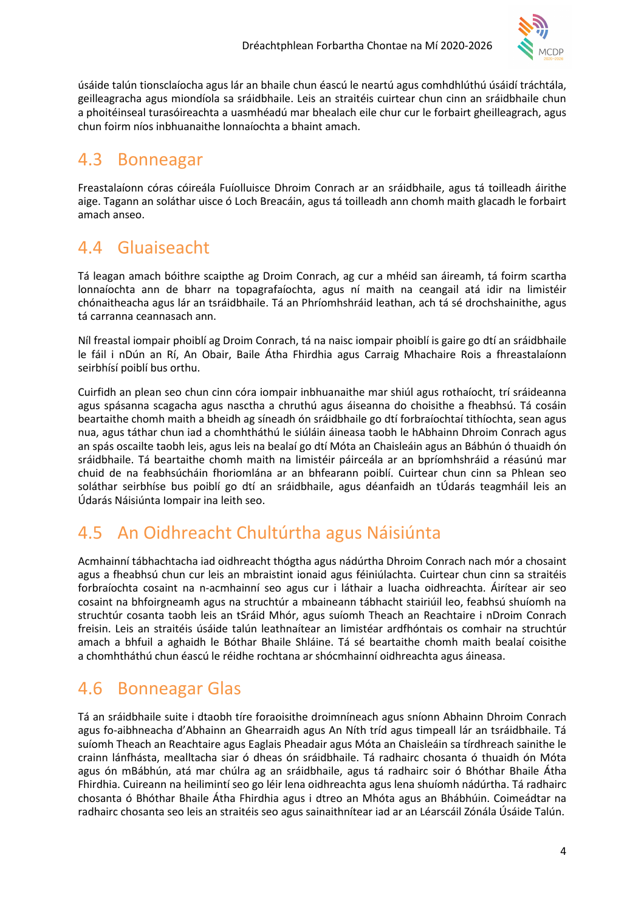

úsáide talún tionsclaíocha agus lár an bhaile chun éascú le neartú agus comhdhlúthú úsáidí tráchtála, geilleagracha agus miondíola sa sráidbhaile. Leis an straitéis cuirtear chun cinn an sráidbhaile chun a phoitéinseal turasóireachta a uasmhéadú mar bhealach eile chur cur le forbairt gheilleagrach, agus chun foirm níos inbhuanaithe lonnaíochta a bhaint amach.

### 4.3 Bonneagar

Freastalaíonn córas cóireála Fuíolluisce Dhroim Conrach ar an sráidbhaile, agus tá toilleadh áirithe aige. Tagann an soláthar uisce ó Loch Breacáin, agus tá toilleadh ann chomh maith glacadh le forbairt amach anseo.

### 4.4 Gluaiseacht

Tá leagan amach bóithre scaipthe ag Droim Conrach, ag cur a mhéid san áireamh, tá foirm scartha lonnaíochta ann de bharr na topagrafaíochta, agus ní maith na ceangail atá idir na limistéir chónaitheacha agus lár an tsráidbhaile. Tá an Phríomhshráid leathan, ach tá sé drochshainithe, agus tá carranna ceannasach ann.

Níl freastal iompair phoiblí ag Droim Conrach, tá na naisc iompair phoiblí is gaire go dtí an sráidbhaile le fáil i nDún an Rí, An Obair, Baile Átha Fhirdhia agus Carraig Mhachaire Rois a fhreastalaíonn seirbhísí poiblí bus orthu.

Cuirfidh an plean seo chun cinn córa iompair inbhuanaithe mar shiúl agus rothaíocht, trí sráideanna agus spásanna scagacha agus nasctha a chruthú agus áiseanna do choisithe a fheabhsú. Tá cosáin beartaithe chomh maith a bheidh ag síneadh ón sráidbhaile go dtí forbraíochtaí tithíochta, sean agus nua, agus táthar chun iad a chomhtháthú le siúláin áineasa taobh le hAbhainn Dhroim Conrach agus an spás oscailte taobh leis, agus leis na bealaí go dtí Móta an Chaisleáin agus an Bábhún ó thuaidh ón sráidbhaile. Tá beartaithe chomh maith na limistéir páirceála ar an bpríomhshráid a réasúnú mar chuid de na feabhsúcháin fhoriomlána ar an bhfearann poiblí. Cuirtear chun cinn sa Phlean seo soláthar seirbhíse bus poiblí go dtí an sráidbhaile, agus déanfaidh an tÚdarás teagmháil leis an Údarás Náisiúnta Iompair ina leith seo.

## 4.5 An Oidhreacht Chultúrtha agus Náisiúnta

Acmhainní tábhachtacha iad oidhreacht thógtha agus nádúrtha Dhroim Conrach nach mór a chosaint agus a fheabhsú chun cur leis an mbraistint ionaid agus féiniúlachta. Cuirtear chun cinn sa straitéis forbraíochta cosaint na n-acmhainní seo agus cur i láthair a luacha oidhreachta. Áirítear air seo cosaint na bhfoirgneamh agus na struchtúr a mbaineann tábhacht stairiúil leo, feabhsú shuíomh na struchtúr cosanta taobh leis an tSráid Mhór, agus suíomh Theach an Reachtaire i nDroim Conrach freisin. Leis an straitéis úsáide talún leathnaítear an limistéar ardfhóntais os comhair na struchtúr amach a bhfuil a aghaidh le Bóthar Bhaile Shláine. Tá sé beartaithe chomh maith bealaí coisithe a chomhtháthú chun éascú le réidhe rochtana ar shócmhainní oidhreachta agus áineasa.

## 4.6 Bonneagar Glas

Tá an sráidbhaile suite i dtaobh tíre foraoisithe droimníneach agus sníonn Abhainn Dhroim Conrach agus fo-aibhneacha d'Abhainn an Ghearraidh agus An Níth tríd agus timpeall lár an tsráidbhaile. Tá suíomh Theach an Reachtaire agus Eaglais Pheadair agus Móta an Chaisleáin sa tírdhreach sainithe le crainn lánfhásta, mealltacha siar ó dheas ón sráidbhaile. Tá radhairc chosanta ó thuaidh ón Móta agus ón mBábhún, atá mar chúlra ag an sráidbhaile, agus tá radhairc soir ó Bhóthar Bhaile Átha Fhirdhia. Cuireann na heilimintí seo go léir lena oidhreachta agus lena shuíomh nádúrtha. Tá radhairc chosanta ó Bhóthar Bhaile Átha Fhirdhia agus i dtreo an Mhóta agus an Bhábhúin. Coimeádtar na radhairc chosanta seo leis an straitéis seo agus sainaithnítear iad ar an Léarscáil Zónála Úsáide Talún.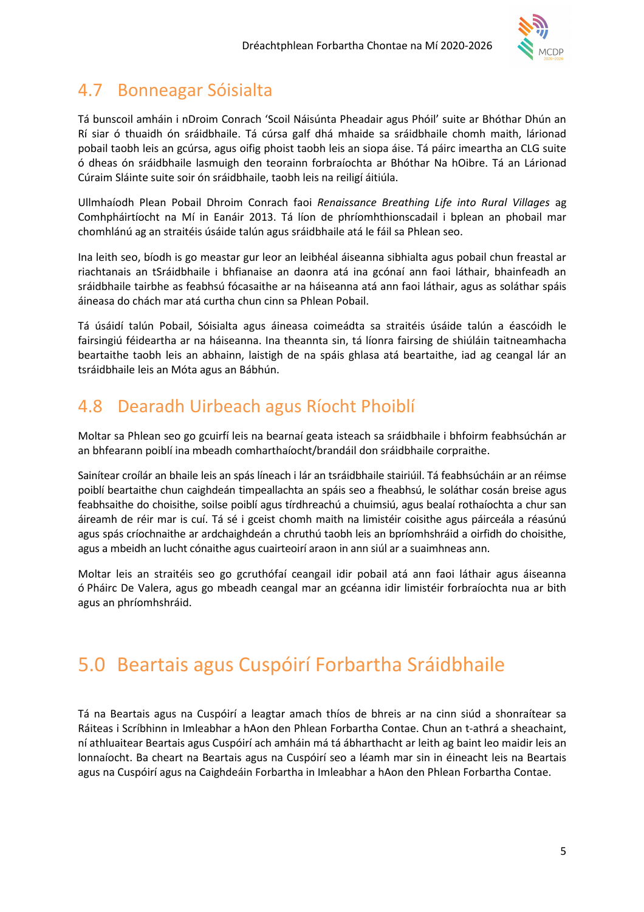

### 4.7 Bonneagar Sóisialta

Tá bunscoil amháin i nDroim Conrach 'Scoil Náisúnta Pheadair agus Phóil' suite ar Bhóthar Dhún an Rí siar ó thuaidh ón sráidbhaile. Tá cúrsa galf dhá mhaide sa sráidbhaile chomh maith, lárionad pobail taobh leis an gcúrsa, agus oifig phoist taobh leis an siopa áise. Tá páirc imeartha an CLG suite ó dheas ón sráidbhaile lasmuigh den teorainn forbraíochta ar Bhóthar Na hOibre. Tá an Lárionad Cúraim Sláinte suite soir ón sráidbhaile, taobh leis na reiligí áitiúla.

Ullmhaíodh Plean Pobail Dhroim Conrach faoi Renaissance Breathing Life into Rural Villages ag Comhpháirtíocht na Mí in Eanáir 2013. Tá líon de phríomhthionscadail i bplean an phobail mar chomhlánú ag an straitéis úsáide talún agus sráidbhaile atá le fáil sa Phlean seo.

Ina leith seo, bíodh is go meastar gur leor an leibhéal áiseanna sibhialta agus pobail chun freastal ar riachtanais an tSráidbhaile i bhfianaise an daonra atá ina gcónaí ann faoi láthair, bhainfeadh an sráidbhaile tairbhe as feabhsú fócasaithe ar na háiseanna atá ann faoi láthair, agus as soláthar spáis áineasa do chách mar atá curtha chun cinn sa Phlean Pobail.

Tá úsáidí talún Pobail, Sóisialta agus áineasa coimeádta sa straitéis úsáide talún a éascóidh le fairsingiú féideartha ar na háiseanna. Ina theannta sin, tá líonra fairsing de shiúláin taitneamhacha beartaithe taobh leis an abhainn, laistigh de na spáis ghlasa atá beartaithe, iad ag ceangal lár an tsráidbhaile leis an Móta agus an Bábhún.

## 4.8 Dearadh Uirbeach agus Ríocht Phoiblí

Moltar sa Phlean seo go gcuirfí leis na bearnaí geata isteach sa sráidbhaile i bhfoirm feabhsúchán ar an bhfearann poiblí ina mbeadh comharthaíocht/brandáil don sráidbhaile corpraithe.

Sainítear croílár an bhaile leis an spás líneach i lár an tsráidbhaile stairiúil. Tá feabhsúcháin ar an réimse poiblí beartaithe chun caighdeán timpeallachta an spáis seo a fheabhsú, le soláthar cosán breise agus feabhsaithe do choisithe, soilse poiblí agus tírdhreachú a chuimsiú, agus bealaí rothaíochta a chur san áireamh de réir mar is cuí. Tá sé i gceist chomh maith na limistéir coisithe agus páirceála a réasúnú agus spás críochnaithe ar ardchaighdeán a chruthú taobh leis an bpríomhshráid a oirfidh do choisithe, agus a mbeidh an lucht cónaithe agus cuairteoirí araon in ann siúl ar a suaimhneas ann.

Moltar leis an straitéis seo go gcruthófaí ceangail idir pobail atá ann faoi láthair agus áiseanna ó Pháirc De Valera, agus go mbeadh ceangal mar an gcéanna idir limistéir forbraíochta nua ar bith agus an phríomhshráid.

# 5.0 Beartais agus Cuspóirí Forbartha Sráidbhaile

Tá na Beartais agus na Cuspóirí a leagtar amach thíos de bhreis ar na cinn siúd a shonraítear sa Ráiteas i Scríbhinn in Imleabhar a hAon den Phlean Forbartha Contae. Chun an t-athrá a sheachaint, ní athluaitear Beartais agus Cuspóirí ach amháin má tá ábharthacht ar leith ag baint leo maidir leis an lonnaíocht. Ba cheart na Beartais agus na Cuspóirí seo a léamh mar sin in éineacht leis na Beartais agus na Cuspóirí agus na Caighdeáin Forbartha in Imleabhar a hAon den Phlean Forbartha Contae.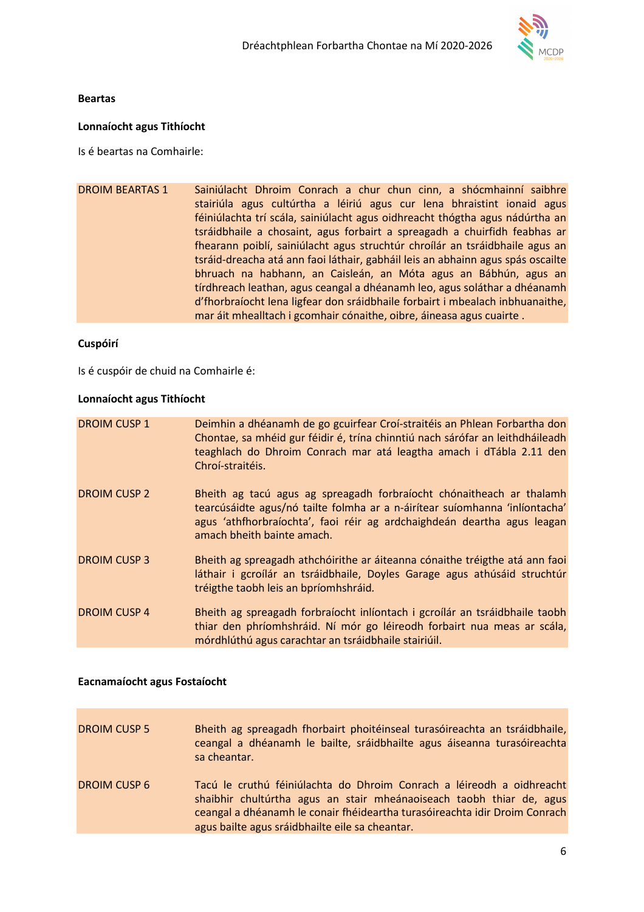

#### Beartas

#### Lonnaíocht agus Tithíocht

Is é beartas na Comhairle:

| <b>DROIM BEARTAS 1</b> | Sainiúlacht Dhroim Conrach a chur chun cinn, a shócmhainní saibhre<br>stairiúla agus cultúrtha a léiriú agus cur lena bhraistint ionaid agus |
|------------------------|----------------------------------------------------------------------------------------------------------------------------------------------|
|                        | féiniúlachta trí scála, sainiúlacht agus oidhreacht thógtha agus nádúrtha an                                                                 |
|                        | tsráidbhaile a chosaint, agus forbairt a spreagadh a chuirfidh feabhas ar                                                                    |
|                        | fhearann poiblí, sainiúlacht agus struchtúr chroílár an tsráidbhaile agus an                                                                 |
|                        | tsráid-dreacha atá ann faoi láthair, gabháil leis an abhainn agus spás oscailte                                                              |
|                        | bhruach na habhann, an Caisleán, an Móta agus an Bábhún, agus an                                                                             |
|                        | tírdhreach leathan, agus ceangal a dhéanamh leo, agus soláthar a dhéanamh                                                                    |
|                        | d'fhorbraíocht lena ligfear don sráidbhaile forbairt i mbealach inbhuanaithe,                                                                |
|                        | mar áit mhealltach i gcomhair cónaithe, oibre, áineasa agus cuairte.                                                                         |

#### Cuspóirí

Is é cuspóir de chuid na Comhairle é:

#### Lonnaíocht agus Tithíocht

| <b>DROIM CUSP 1</b> | Deimhin a dhéanamh de go gcuirfear Croí-straitéis an Phlean Forbartha don<br>Chontae, sa mhéid gur féidir é, trína chinntiú nach sárófar an leithdháileadh<br>teaghlach do Dhroim Conrach mar atá leagtha amach i dTábla 2.11 den<br>Chroí-straitéis.        |
|---------------------|--------------------------------------------------------------------------------------------------------------------------------------------------------------------------------------------------------------------------------------------------------------|
| <b>DROIM CUSP 2</b> | Bheith ag tacú agus ag spreagadh forbraíocht chónaitheach ar thalamh<br>tearcúsáidte agus/nó tailte folmha ar a n-áirítear suíomhanna 'inlíontacha'<br>agus 'athfhorbraíochta', faoi réir ag ardchaighdeán deartha agus leagan<br>amach bheith bainte amach. |
| <b>DROIM CUSP 3</b> | Bheith ag spreagadh athchóirithe ar áiteanna cónaithe tréigthe atá ann faoi<br>láthair i gcroílár an tsráidbhaile, Doyles Garage agus athúsáid struchtúr<br>tréigthe taobh leis an bpríomhshráid.                                                            |
| <b>DROIM CUSP 4</b> | Bheith ag spreagadh forbraíocht inlíontach i gcroílár an tsráidbhaile taobh<br>thiar den phríomhshráid. Ní mór go léireodh forbairt nua meas ar scála,<br>mórdhlúthú agus carachtar an tsráidbhaile stairiúil.                                               |

#### Eacnamaíocht agus Fostaíocht

| <b>DROIM CUSP 5</b> | Bheith ag spreagadh fhorbairt phoitéinseal turasóireachta an tsráidbhaile,<br>ceangal a dhéanamh le bailte, sráidbhailte agus áiseanna turasóireachta<br>sa cheantar.                                                                                                          |
|---------------------|--------------------------------------------------------------------------------------------------------------------------------------------------------------------------------------------------------------------------------------------------------------------------------|
| <b>DROIM CUSP 6</b> | Tacú le cruthú féiniúlachta do Dhroim Conrach a léireodh a oidhreacht<br>shaibhir chultúrtha agus an stair mheánaoiseach taobh thiar de, agus<br>ceangal a dhéanamh le conair fhéideartha turasóireachta idir Droim Conrach<br>agus bailte agus sráidbhailte eile sa cheantar. |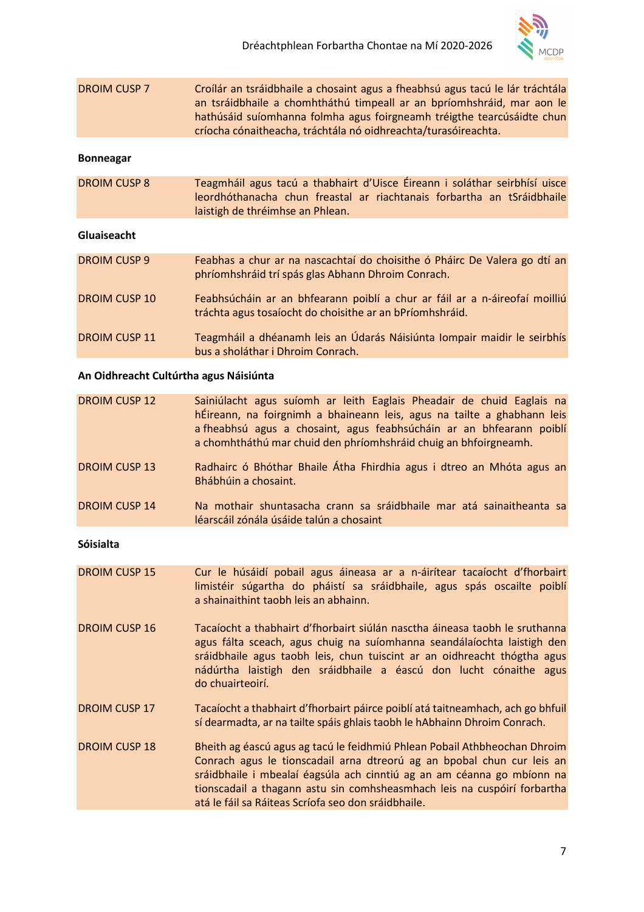

| <b>DROIM CUSP 7</b> | Croílár an tsráidbhaile a chosaint agus a fheabhsú agus tacú le lár tráchtála |
|---------------------|-------------------------------------------------------------------------------|
|                     | an tsráidbhaile a chomhtháthú timpeall ar an bpríomhshráid, mar aon le        |
|                     | hathúsáid suíomhanna folmha agus foirgneamh tréigthe tearcúsáidte chun        |
|                     | críocha cónaitheacha, tráchtála nó oidhreachta/turasóireachta.                |

#### Bonneagar

DROIM CUSP 8 Teagmháil agus tacú a thabhairt d'Uisce Éireann i soláthar seirbhísí uisce leordhóthanacha chun freastal ar riachtanais forbartha an tSráidbhaile laistigh de thréimhse an Phlean.

#### Gluaiseacht

| <b>DROIM CUSP 9</b>  | Feabhas a chur ar na nascachtaí do choisithe ó Pháirc De Valera go dtí an<br>phríomhshráid trí spás glas Abhann Dhroim Conrach.        |
|----------------------|----------------------------------------------------------------------------------------------------------------------------------------|
| <b>DROIM CUSP 10</b> | Feabhsúcháin ar an bhfearann poiblí a chur ar fáil ar a n-áireofaí moilliú<br>tráchta agus tosaíocht do choisithe ar an bPríomhshráid. |
| <b>DROIM CUSP 11</b> | Teagmháil a dhéanamh leis an Údarás Náisiúnta Iompair maidir le seirbhís<br>bus a sholáthar i Dhroim Conrach.                          |

#### An Oidhreacht Cultúrtha agus Náisiúnta

| <b>DROIM CUSP 12</b> | Sainiúlacht agus suíomh ar leith Eaglais Pheadair de chuid Eaglais na<br>hÉireann, na foirgnimh a bhaineann leis, agus na tailte a ghabhann leis<br>a fheabhsú agus a chosaint, agus feabhsúcháin ar an bhfearann poiblí<br>a chomhtháthú mar chuid den phríomhshráid chuig an bhfoirgneamh. |
|----------------------|----------------------------------------------------------------------------------------------------------------------------------------------------------------------------------------------------------------------------------------------------------------------------------------------|
| <b>DROIM CUSP 13</b> | Radhairc ó Bhóthar Bhaile Átha Fhirdhia agus i dtreo an Mhóta agus an<br>Bhábhúin a chosaint.                                                                                                                                                                                                |
| <b>DROIM CUSP 14</b> | Na mothair shuntasacha crann sa sráidbhaile mar atá sainaitheanta sa<br>léarscáil zónála úsáide talún a chosaint                                                                                                                                                                             |
| <b>Sóisialta</b>     |                                                                                                                                                                                                                                                                                              |

- DROIM CUSP 15 Cur le húsáidí pobail agus áineasa ar a n-áirítear tacaíocht d'fhorbairt limistéir súgartha do pháistí sa sráidbhaile, agus spás oscailte poiblí a shainaithint taobh leis an abhainn.
- DROIM CUSP 16 Tacaíocht a thabhairt d'fhorbairt siúlán nasctha áineasa taobh le sruthanna agus fálta sceach, agus chuig na suíomhanna seandálaíochta laistigh den sráidbhaile agus taobh leis, chun tuiscint ar an oidhreacht thógtha agus nádúrtha laistigh den sráidbhaile a éascú don lucht cónaithe agus do chuairteoirí.
- DROIM CUSP 17 Tacaíocht a thabhairt d'fhorbairt páirce poiblí atá taitneamhach, ach go bhfuil sí dearmadta, ar na tailte spáis ghlais taobh le hAbhainn Dhroim Conrach.
- DROIM CUSP 18 Bheith ag éascú agus ag tacú le feidhmiú Phlean Pobail Athbheochan Dhroim Conrach agus le tionscadail arna dtreorú ag an bpobal chun cur leis an sráidbhaile i mbealaí éagsúla ach cinntiú ag an am céanna go mbíonn na tionscadail a thagann astu sin comhsheasmhach leis na cuspóirí forbartha atá le fáil sa Ráiteas Scríofa seo don sráidbhaile.